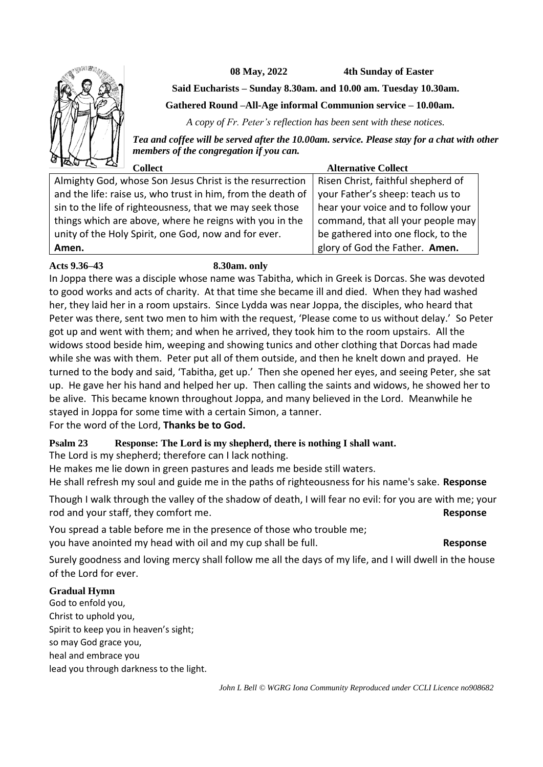

**08 May, 2022 4th Sunday of Easter**

**Said Eucharists – Sunday 8.30am. and 10.00 am. Tuesday 10.30am.**

**Gathered Round –All-Age informal Communion service – 10.00am.**

*A copy of Fr. Peter's reflection has been sent with these notices.*

*Tea and coffee will be served after the 10.00am. service. Please stay for a chat with other members of the congregation if you can.*

| اصع دے صف<br>Collect                                        | <b>Alternative Collect</b>         |
|-------------------------------------------------------------|------------------------------------|
| Almighty God, whose Son Jesus Christ is the resurrection    | Risen Christ, faithful shepherd of |
| and the life: raise us, who trust in him, from the death of | your Father's sheep: teach us to   |
| sin to the life of righteousness, that we may seek those    | hear your voice and to follow your |
| things which are above, where he reigns with you in the     | command, that all your people may  |
| unity of the Holy Spirit, one God, now and for ever.        | be gathered into one flock, to the |
| Amen.                                                       | glory of God the Father. Amen.     |

# **Acts 9.36–43 8.30am. only**

In Joppa there was a disciple whose name was Tabitha, which in Greek is Dorcas. She was devoted to good works and acts of charity. At that time she became ill and died. When they had washed her, they laid her in a room upstairs. Since Lydda was near Joppa, the disciples, who heard that Peter was there, sent two men to him with the request, 'Please come to us without delay.' So Peter got up and went with them; and when he arrived, they took him to the room upstairs. All the widows stood beside him, weeping and showing tunics and other clothing that Dorcas had made while she was with them. Peter put all of them outside, and then he knelt down and prayed. He turned to the body and said, 'Tabitha, get up.' Then she opened her eyes, and seeing Peter, she sat up. He gave her his hand and helped her up. Then calling the saints and widows, he showed her to be alive. This became known throughout Joppa, and many believed in the Lord. Meanwhile he stayed in Joppa for some time with a certain Simon, a tanner.

For the word of the Lord, **Thanks be to God.**

# **Psalm 23 Response: The Lord is my shepherd, there is nothing I shall want.**

The Lord is my shepherd; therefore can I lack nothing.

He makes me lie down in green pastures and leads me beside still waters.

He shall refresh my soul and guide me in the paths of righteousness for his name's sake. **Response**

Though I walk through the valley of the shadow of death, I will fear no evil: for you are with me; your rod and your staff, they comfort me. **Response**

You spread a table before me in the presence of those who trouble me; you have anointed my head with oil and my cup shall be full. **Response**

Surely goodness and loving mercy shall follow me all the days of my life, and I will dwell in the house of the Lord for ever.

# **Gradual Hymn**

God to enfold you, Christ to uphold you, Spirit to keep you in heaven's sight; so may God grace you, heal and embrace you lead you through darkness to the light.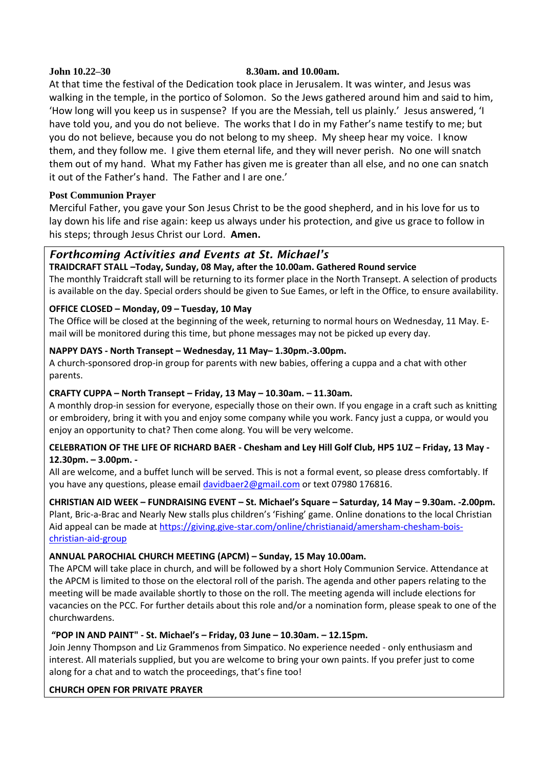#### **John 10.22–30 8.30am. and 10.00am.**

At that time the festival of the Dedication took place in Jerusalem. It was winter, and Jesus was walking in the temple, in the portico of Solomon. So the Jews gathered around him and said to him, 'How long will you keep us in suspense? If you are the Messiah, tell us plainly.' Jesus answered, 'I have told you, and you do not believe. The works that I do in my Father's name testify to me; but you do not believe, because you do not belong to my sheep. My sheep hear my voice. I know them, and they follow me. I give them eternal life, and they will never perish. No one will snatch them out of my hand. What my Father has given me is greater than all else, and no one can snatch it out of the Father's hand. The Father and I are one.'

# **Post Communion Prayer**

Merciful Father, you gave your Son Jesus Christ to be the good shepherd, and in his love for us to lay down his life and rise again: keep us always under his protection, and give us grace to follow in his steps; through Jesus Christ our Lord. **Amen.**

# *Forthcoming Activities and Events at St. Michael's*

# **TRAIDCRAFT STALL –Today, Sunday, 08 May, after the 10.00am. Gathered Round service**

The monthly Traidcraft stall will be returning to its former place in the North Transept. A selection of products is available on the day. Special orders should be given to Sue Eames, or left in the Office, to ensure availability.

# **OFFICE CLOSED – Monday, 09 – Tuesday, 10 May**

The Office will be closed at the beginning of the week, returning to normal hours on Wednesday, 11 May. Email will be monitored during this time, but phone messages may not be picked up every day.

# **NAPPY DAYS - North Transept – Wednesday, 11 May– 1.30pm.-3.00pm.**

A church-sponsored drop-in group for parents with new babies, offering a cuppa and a chat with other parents.

# **CRAFTY CUPPA – North Transept – Friday, 13 May – 10.30am. – 11.30am.**

A monthly drop-in session for everyone, especially those on their own. If you engage in a craft such as knitting or embroidery, bring it with you and enjoy some company while you work. Fancy just a cuppa, or would you enjoy an opportunity to chat? Then come along. You will be very welcome.

# **CELEBRATION OF THE LIFE OF RICHARD BAER - Chesham and Ley Hill Golf Club, HP5 1UZ – Friday, 13 May - 12.30pm. – 3.00pm. -**

All are welcome, and a buffet lunch will be served. This is not a formal event, so please dress comfortably. If you have any questions, please emai[l davidbaer2@gmail.com](mailto:davidbaer2@gmail.com) or text 07980 176816.

# **CHRISTIAN AID WEEK – FUNDRAISING EVENT – St. Michael's Square – Saturday, 14 May – 9.30am. -2.00pm.**

Plant, Bric-a-Brac and Nearly New stalls plus children's 'Fishing' game. Online donations to the local Christian Aid appeal can be made at [https://giving.give-star.com/online/christianaid/amersham-chesham-bois](https://giving.give-star.com/online/christianaid/amersham-chesham-bois-christian-aid-group)[christian-aid-group](https://giving.give-star.com/online/christianaid/amersham-chesham-bois-christian-aid-group)

# **ANNUAL PAROCHIAL CHURCH MEETING (APCM) – Sunday, 15 May 10.00am.**

The APCM will take place in church, and will be followed by a short Holy Communion Service. Attendance at the APCM is limited to those on the electoral roll of the parish. The agenda and other papers relating to the meeting will be made available shortly to those on the roll. The meeting agenda will include elections for vacancies on the PCC. For further details about this role and/or a nomination form, please speak to one of the churchwardens.

# **"POP IN AND PAINT" - St. Michael's – Friday, 03 June – 10.30am. – 12.15pm.**

Join Jenny Thompson and Liz Grammenos from Simpatico. No experience needed - only enthusiasm and interest. All materials supplied, but you are welcome to bring your own paints. If you prefer just to come along for a chat and to watch the proceedings, that's fine too!

# **CHURCH OPEN FOR PRIVATE PRAYER**